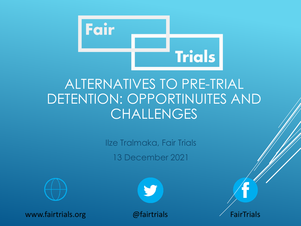

### ALTERNATIVES TO PRE-TRIAL DETENTION: OPPORTINUITES AND **CHALLENGES**

Ilze Tralmaka, Fair Trials 13 December 2021



www.fairtrials.org @fairtrials  $\mathcal{Q}$  fairtrials  $\mathcal{P}$  FairTrials

V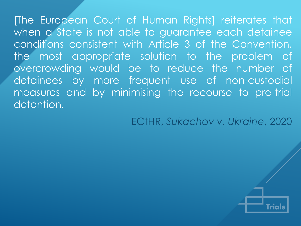[The European Court of Human Rights] reiterates that when a State is not able to guarantee each detainee conditions consistent with Article 3 of the Convention, the most appropriate solution to the problem of overcrowding would be to reduce the number of detainees by more frequent use of non-custodial measures and by minimising the recourse to pre-trial detention.

ECtHR, *Sukachov v. Ukraine*, 2020

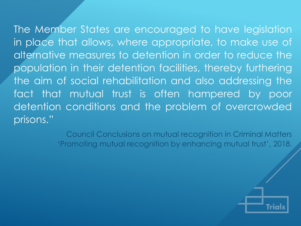The Member States are encouraged to have legislation in place that allows, where appropriate, to make use of alternative measures to detention in order to reduce the population in their detention facilities, thereby furthering the aim of social rehabilitation and also addressing the fact that mutual trust is often hampered by poor detention conditions and the problem of overcrowded prisons."

> Council Conclusions on mutual recognition in Criminal Matters 'Promoting mutual recognition by enhancing mutual trust', 2018.

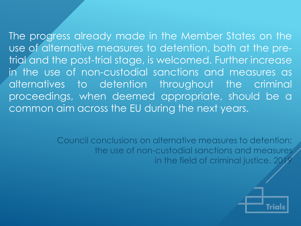The progress already made in the Member States on the use of alternative measures to detention, both at the pretrial and the post-trial stage, is welcomed. Further increase in the use of non-custodial sanctions and measures as alternatives to detention throughout the criminal proceedings, when deemed appropriate, should be a common aim across the EU during the next years.

> Council conclusions on alternative measures to detention: the use of non-custodial sanctions and measures in the field of criminal justice, 201

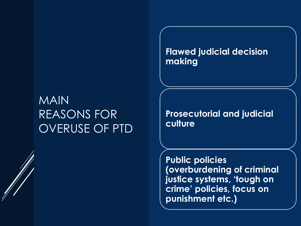### MAIN REASONS FOR OVERUSE OF PTD

**Flawed judicial decision making**

**Prosecutorial and judicial culture**

**Public policies (overburdening of criminal justice systems, 'tough on crime' policies, focus on punishment etc.)**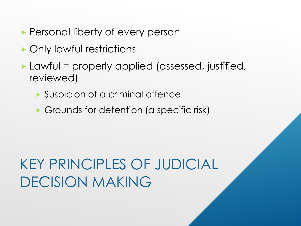- **Personal liberty of every person**
- ▶ Only lawful restrictions
- ▶ Lawful = properly applied (assessed, justified, reviewed)
	- Suspicion of a criminal offence
	- Grounds for detention (a specific risk)

## KEY PRINCIPLES OF JUDICIAL DECISION MAKING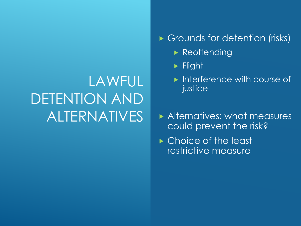## LAWFUL DETENTION AND ALTERNATIVES

#### Grounds for detention (risks)

- **Reoffending**
- **Flight**
- **Interference with course of** justice
- Alternatives: what measures could prevent the risk?
- ► Choice of the least restrictive measure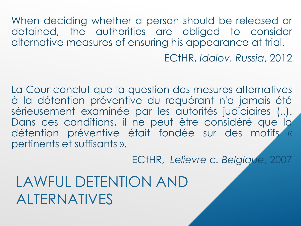When deciding whether a person should be released or detained, the authorities are obliged to consider alternative measures of ensuring his appearance at trial. ECtHR, *Idalov. Russia*, 2012

La Cour conclut que la question des mesures alternatives à la détention préventive du requérant n'a jamais été sérieusement examinée par les autorités judiciaires (..). Dans ces conditions, il ne peut être considéré que la détention préventive était fondée sur des motifs « pertinents et suffisants ».

ECtHR, *Lelievre c. Belgique*, 2007

LAWFUL DETENTION AND ALTERNATIVES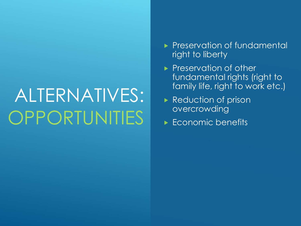# ALTERNATIVES: OPPORTUNITIES

- Preservation of fundamental right to liberty
- **Preservation of other** fundamental rights (right to family life, right to work etc.)
- Reduction of prison overcrowding
- Economic benefits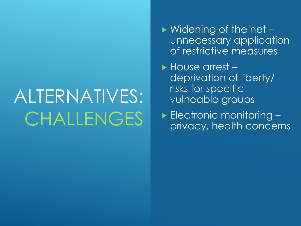# ALTERNATIVES: CHALLENGES

- ▶ Widening of the net unnecessary application of restrictive measures
- House arrest deprivation of liberty/ risks for specific vulneable groups

▶ Electronic monitoring privacy, health concerns